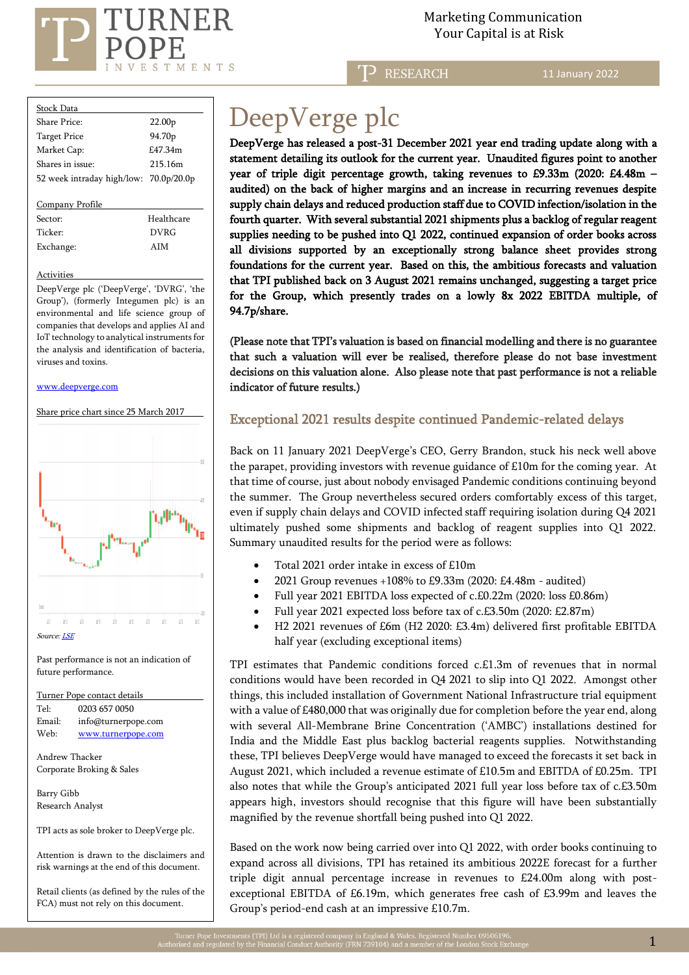

 Marketing Communication  $\mathrm{RNER} \hspace{2.5cm}$ Marketing Communicat<br>Your Capital is at Risk

RESEARCH

11 January 2022

| Stock Data                             |                    |
|----------------------------------------|--------------------|
| Share Price:                           | 22.00 <sub>p</sub> |
| <b>Target Price</b>                    | 94.70 <sub>p</sub> |
| Market Cap:                            | £47.34m            |
| Shares in issue:                       | 215 16m            |
| 52 week intraday high/low: 70.0p/20.0p |                    |
|                                        |                    |
| Company Profile                        |                    |
| Sector:                                | Healthcare         |
| Ticker <sup>.</sup>                    | <b>DVRG</b>        |
| Exchange:                              | AIM                |

#### **Activities**

DeepVerge plc ('DeepVerge', 'DVRG', 'the Group'), (formerly Integumen plc) is an environmental and life science group of companies that develops and applies AI and IoT technology to analytical instruments for the analysis and identification of bacteria, viruses and toxins.

#### [www.deepverge.com](http://www.deepverge.com/)

Share price chart since 25 March 2017



Tel: [0203](tel:0203) 657 0050 Email: info@turnerpope.com Web: [www.turnerpope.com](http://www.turnerpope.com/)

Andrew Thacker Corporate Broking & Sales

Barry Gibb Research Analyst

İ

TPI acts as sole broker to DeepVerge plc.

Attention is drawn to the disclaimers and risk warnings at the end of this document.

Retail clients (as defined by the rules of the FCA) must not rely on this document.

# DeepVerge plc

DeepVerge has released a post-31 December 2021 year end trading update along with a statement detailing its outlook for the current year. Unaudited figures point to another year of triple digit percentage growth, taking revenues to £9.33m (2020: £4.48m – audited) on the back of higher margins and an increase in recurring revenues despite supply chain delays and reduced production staff due to COVID infection/isolation in the fourth quarter. With several substantial 2021 shipments plus a backlog of regular reagent supplies needing to be pushed into Q1 2022, continued expansion of order books across all divisions supported by an exceptionally strong balance sheet provides strong foundations for the current year. Based on this, the ambitious forecasts and valuation that TPI published back on 3 August 2021 remains unchanged, suggesting a target price for the Group, which presently trades on a lowly 8x 2022 EBITDA multiple, of 94.7p/share.

(Please note that TPI's valuation is based on financial modelling and there is no guarantee that such a valuation will ever be realised, therefore please do not base investment decisions on this valuation alone. Also please note that past performance is not a reliable indicator of future results.)

## Exceptional 2021 results despite continued Pandemic-related delays

Back on 11 January 2021 DeepVerge's CEO, Gerry Brandon, stuck his neck well above the parapet, providing investors with revenue guidance of £10m for the coming year. At that time of course, just about nobody envisaged Pandemic conditions continuing beyond the summer. The Group nevertheless secured orders comfortably excess of this target, even if supply chain delays and COVID infected staff requiring isolation during Q4 2021 ultimately pushed some shipments and backlog of reagent supplies into Q1 2022. Summary unaudited results for the period were as follows:

- Total 2021 order intake in excess of £10m
- 2021 Group revenues +108% to £9.33m (2020: £4.48m audited)
- Full year 2021 EBITDA loss expected of c.£0.22m (2020: loss £0.86m)
- Full year 2021 expected loss before tax of c.£3.50m (2020: £2.87m)
- H2 2021 revenues of £6m (H2 2020: £3.4m) delivered first profitable EBITDA half year (excluding exceptional items)

TPI estimates that Pandemic conditions forced c.£1.3m of revenues that in normal conditions would have been recorded in Q4 2021 to slip into Q1 2022. Amongst other things, this included installation of Government National Infrastructure trial equipment with a value of £480,000 that was originally due for completion before the year end, along with several All-Membrane Brine Concentration ('AMBC') installations destined for India and the Middle East plus backlog bacterial reagents supplies. Notwithstanding these, TPI believes DeepVerge would have managed to exceed the forecasts it set back in August 2021, which included a revenue estimate of £10.5m and EBITDA of £0.25m. TPI also notes that while the Group's anticipated 2021 full year loss before tax of c.£3.50m appears high, investors should recognise that this figure will have been substantially magnified by the revenue shortfall being pushed into Q1 2022.

Based on the work now being carried over into Q1 2022, with order books continuing to expand across all divisions, TPI has retained its ambitious 2022E forecast for a further triple digit annual percentage increase in revenues to £24.00m along with postexceptional EBITDA of £6.19m, which generates free cash of £3.99m and leaves the Group's period-end cash at an impressive £10.7m.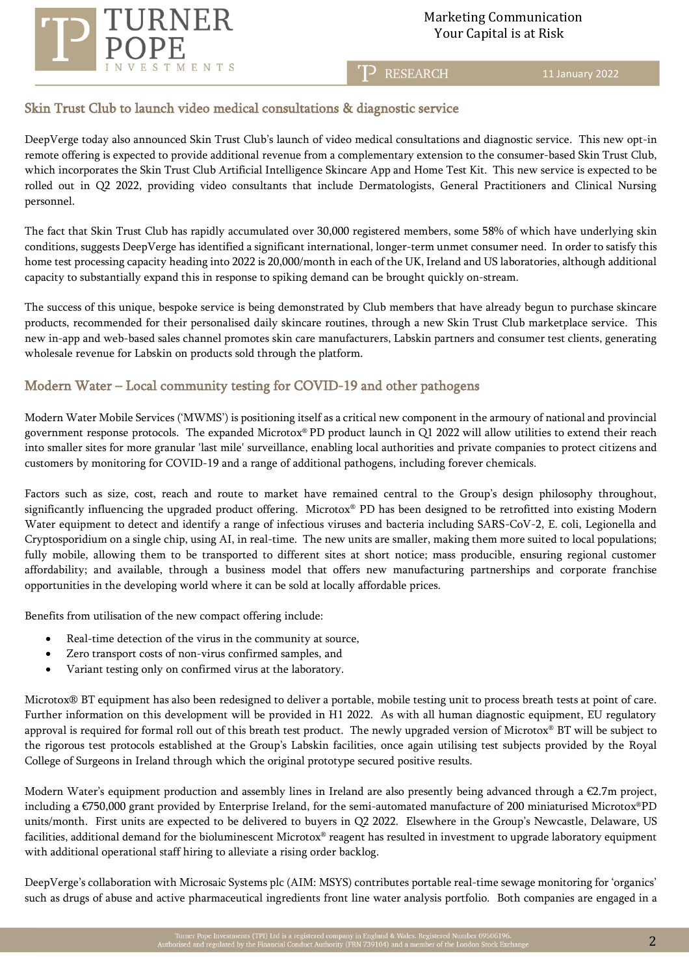

T<sub>2</sub> RESEARCH

11 January 2022

# Skin Trust Club to launch video medical consultations & diagnostic service

DeepVerge today also announced Skin Trust Club's launch of video medical consultations and diagnostic service. This new opt-in remote offering is expected to provide additional revenue from a complementary extension to the consumer-based Skin Trust Club, which incorporates the Skin Trust Club Artificial Intelligence Skincare App and Home Test Kit. This new service is expected to be rolled out in Q2 2022, providing video consultants that include Dermatologists, General Practitioners and Clinical Nursing personnel.

The fact that Skin Trust Club has rapidly accumulated over 30,000 registered members, some 58% of which have underlying skin conditions, suggests DeepVerge has identified a significant international, longer-term unmet consumer need. In order to satisfy this home test processing capacity heading into 2022 is 20,000/month in each of the UK, Ireland and US laboratories, although additional capacity to substantially expand this in response to spiking demand can be brought quickly on-stream.

The success of this unique, bespoke service is being demonstrated by Club members that have already begun to purchase skincare products, recommended for their personalised daily skincare routines, through a new Skin Trust Club marketplace service. This new in-app and web-based sales channel promotes skin care manufacturers, Labskin partners and consumer test clients, generating wholesale revenue for Labskin on products sold through the platform.

# Modern Water – Local community testing for COVID-19 and other pathogens

Modern Water Mobile Services ('MWMS') is positioning itself as a critical new component in the armoury of national and provincial government response protocols. The expanded Microtox® PD product launch in Q1 2022 will allow utilities to extend their reach into smaller sites for more granular 'last mile' surveillance, enabling local authorities and private companies to protect citizens and customers by monitoring for COVID-19 and a range of additional pathogens, including forever chemicals.

Factors such as size, cost, reach and route to market have remained central to the Group's design philosophy throughout, significantly influencing the upgraded product offering. Microtox® PD has been designed to be retrofitted into existing Modern Water equipment to detect and identify a range of infectious viruses and bacteria including SARS-CoV-2, E. coli, Legionella and Cryptosporidium on a single chip, using AI, in real-time. The new units are smaller, making them more suited to local populations; fully mobile, allowing them to be transported to different sites at short notice; mass producible, ensuring regional customer affordability; and available, through a business model that offers new manufacturing partnerships and corporate franchise opportunities in the developing world where it can be sold at locally affordable prices.

Benefits from utilisation of the new compact offering include:

- Real-time detection of the virus in the community at source,
- Zero transport costs of non-virus confirmed samples, and
- Variant testing only on confirmed virus at the laboratory.

Microtox® BT equipment has also been redesigned to deliver a portable, mobile testing unit to process breath tests at point of care. Further information on this development will be provided in H1 2022. As with all human diagnostic equipment, EU regulatory approval is required for formal roll out of this breath test product. The newly upgraded version of Microtox® BT will be subject to the rigorous test protocols established at the Group's Labskin facilities, once again utilising test subjects provided by the Royal College of Surgeons in Ireland through which the original prototype secured positive results.

Modern Water's equipment production and assembly lines in Ireland are also presently being advanced through a €2.7m project, including a €750,000 grant provided by Enterprise Ireland, for the semi-automated manufacture of 200 miniaturised Microtox®PD units/month. First units are expected to be delivered to buyers in Q2 2022. Elsewhere in the Group's Newcastle, Delaware, US facilities, additional demand for the bioluminescent Microtox® reagent has resulted in investment to upgrade laboratory equipment with additional operational staff hiring to alleviate a rising order backlog.

DeepVerge's collaboration with Microsaic Systems plc (AIM: MSYS) contributes portable real-time sewage monitoring for 'organics' such as drugs of abuse and active pharmaceutical ingredients front line water analysis portfolio. Both companies are engaged in a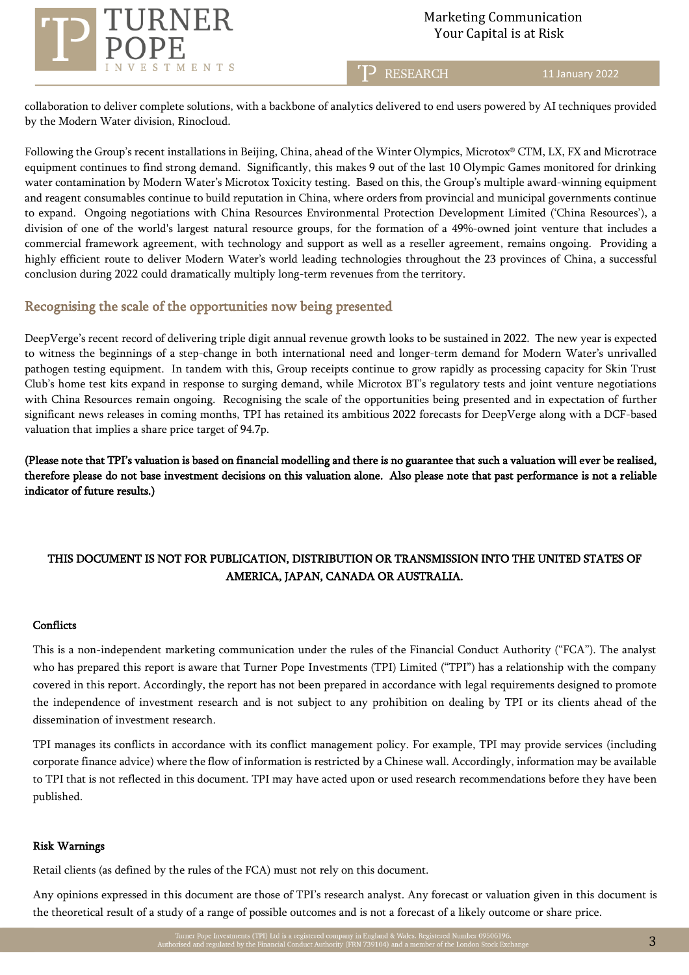

T<sub>2</sub> RESEARCH

11 January 2022

collaboration to deliver complete solutions, with a backbone of analytics delivered to end users powered by AI techniques provided by the Modern Water division, Rinocloud.

Following the Group's recent installations in Beijing, China, ahead of the Winter Olympics, Microtox® CTM, LX, FX and Microtrace equipment continues to find strong demand. Significantly, this makes 9 out of the last 10 Olympic Games monitored for drinking water contamination by Modern Water's Microtox Toxicity testing. Based on this, the Group's multiple award-winning equipment and reagent consumables continue to build reputation in China, where orders from provincial and municipal governments continue to expand. Ongoing negotiations with China Resources Environmental Protection Development Limited ('China Resources'), a division of one of the world's largest natural resource groups, for the formation of a 49%-owned joint venture that includes a commercial framework agreement, with technology and support as well as a reseller agreement, remains ongoing. Providing a highly efficient route to deliver Modern Water's world leading technologies throughout the 23 provinces of China, a successful conclusion during 2022 could dramatically multiply long-term revenues from the territory.

# Recognising the scale of the opportunities now being presented

DeepVerge's recent record of delivering triple digit annual revenue growth looks to be sustained in 2022. The new year is expected to witness the beginnings of a step-change in both international need and longer-term demand for Modern Water's unrivalled pathogen testing equipment. In tandem with this, Group receipts continue to grow rapidly as processing capacity for Skin Trust Club's home test kits expand in response to surging demand, while Microtox BT's regulatory tests and joint venture negotiations with China Resources remain ongoing. Recognising the scale of the opportunities being presented and in expectation of further significant news releases in coming months, TPI has retained its ambitious 2022 forecasts for DeepVerge along with a DCF-based valuation that implies a share price target of 94.7p.

(Please note that TPI's valuation is based on financial modelling and there is no guarantee that such a valuation will ever be realised, therefore please do not base investment decisions on this valuation alone. Also please note that past performance is not a reliable indicator of future results.)

# THIS DOCUMENT IS NOT FOR PUBLICATION, DISTRIBUTION OR TRANSMISSION INTO THE UNITED STATES OF AMERICA, JAPAN, CANADA OR AUSTRALIA.

#### **Conflicts**

This is a non-independent marketing communication under the rules of the Financial Conduct Authority ("FCA"). The analyst who has prepared this report is aware that Turner Pope Investments (TPI) Limited ("TPI") has a relationship with the company covered in this report. Accordingly, the report has not been prepared in accordance with legal requirements designed to promote the independence of investment research and is not subject to any prohibition on dealing by TPI or its clients ahead of the dissemination of investment research.

TPI manages its conflicts in accordance with its conflict management policy. For example, TPI may provide services (including corporate finance advice) where the flow of information is restricted by a Chinese wall. Accordingly, information may be available to TPI that is not reflected in this document. TPI may have acted upon or used research recommendations before they have been published.

### Risk Warnings

Retail clients (as defined by the rules of the FCA) must not rely on this document.

Any opinions expressed in this document are those of TPI's research analyst. Any forecast or valuation given in this document is the theoretical result of a study of a range of possible outcomes and is not a forecast of a likely outcome or share price.